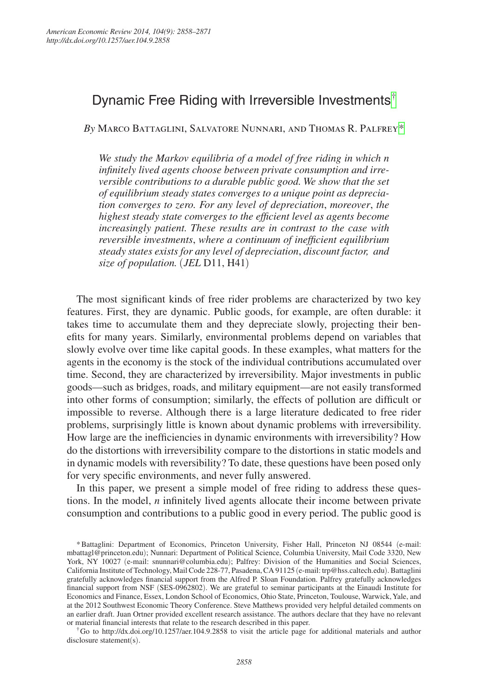# Dynamic Free Riding with Irreversible Investments[†](#page-0-0)

*By* Marco Battaglini, Salvatore Nunnari, and Thomas R. Palfrey[\\*](#page-0-1)

*We study the Markov equilibria of a model of free riding in which n infinitely lived agents choose between private consumption and irreversible contributions to a durable public good. We show that the set of equilibrium steady states converges to a unique point as depreciation converges to zero. For any level of depreciation*, *moreover*, *the highest steady state converges to the efficient level as agents become increasingly patient. These results are in contrast to the case with reversible investments*, *where a continuum of inefficient equilibrium steady states exists for any level of depreciation*, *discount factor, and size of population.* (*JEL* D11, H41)

The most significant kinds of free rider problems are characterized by two key features. First, they are dynamic. Public goods, for example, are often durable: it takes time to accumulate them and they depreciate slowly, projecting their benefits for many years. Similarly, environmental problems depend on variables that slowly evolve over time like capital goods. In these examples, what matters for the agents in the economy is the stock of the individual contributions accumulated over time. Second, they are characterized by irreversibility. Major investments in public goods—such as bridges, roads, and military equipment—are not easily transformed into other forms of consumption; similarly, the effects of pollution are difficult or impossible to reverse. Although there is a large literature dedicated to free rider problems, surprisingly little is known about dynamic problems with irreversibility. How large are the inefficiencies in dynamic environments with irreversibility? How do the distortions with irreversibility compare to the distortions in static models and in dynamic models with reversibility? To date, these questions have been posed only for very specific environments, and never fully answered.

In this paper, we present a simple model of free riding to address these questions. In the model, *n* infinitely lived agents allocate their income between private consumption and contributions to a public good in every period. The public good is

<span id="page-0-0"></span>disclosure statement(s).

<span id="page-0-1"></span><sup>\*</sup>Battaglini: Department of Economics, Princeton University, Fisher Hall, Princeton NJ 08544 (e-mail: [mbattagl@princeton.edu](mailto:mbattagl@princeton.edu)); Nunnari: Department of Political Science, Columbia University, Mail Code 3320, New York, NY 10027 (e-mail: [snunnari@columbia.edu](mailto:snunnari@columbia.edu)); Palfrey: Division of the Humanities and Social Sciences, California Institute of Technology, Mail Code 228-77, Pasadena, CA 91125 (e-mail: [trp@hss.caltech.edu](mailto:trp@hss.caltech.edu)). Battaglini gratefully acknowledges financial support from the Alfred P. Sloan Foundation. Palfrey gratefully acknowledges financial support from NSF (SES-0962802). We are grateful to seminar participants at the Einaudi Institute for Economics and Finance, Essex, London School of Economics, Ohio State, Princeton, Toulouse, Warwick, Yale, and at the 2012 Southwest Economic Theory Conference. Steve Matthews provided very helpful detailed comments on an earlier draft. Juan Ortner provided excellent research assistance. The authors declare that they have no relevant or material financial interests that relate to the research described in this paper. †Go to <http://dx.doi.org/10.1257/aer.104.9.2858>to visit the article page for additional materials and author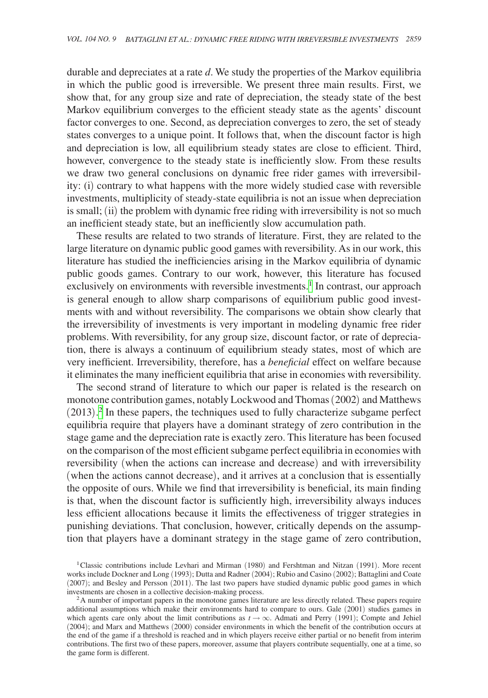durable and depreciates at a rate *d*. We study the properties of the Markov equilibria in which the public good is irreversible. We present three main results. First, we show that, for any group size and rate of depreciation, the steady state of the best Markov equilibrium converges to the efficient steady state as the agents' discount factor converges to one. Second, as depreciation converges to zero, the set of steady states converges to a unique point. It follows that, when the discount factor is high and depreciation is low, all equilibrium steady states are close to efficient. Third, however, convergence to the steady state is inefficiently slow. From these results we draw two general conclusions on dynamic free rider games with irreversibility: (i) contrary to what happens with the more widely studied case with reversible investments, multiplicity of steady-state equilibria is not an issue when depreciation is small; (ii) the problem with dynamic free riding with irreversibility is not so much an inefficient steady state, but an inefficiently slow accumulation path.

These results are related to two strands of literature. First, they are related to the large literature on dynamic public good games with reversibility. As in our work, this literature has studied the inefficiencies arising in the Markov equilibria of dynamic public goods games. Contrary to our work, however, this literature has focused exclusively on environments with reversible investments.<sup>[1](#page-1-0)</sup> In contrast, our approach is general enough to allow sharp comparisons of equilibrium public good investments with and without reversibility. The comparisons we obtain show clearly that the irreversibility of investments is very important in modeling dynamic free rider problems. With reversibility, for any group size, discount factor, or rate of depreciation, there is always a continuum of equilibrium steady states, most of which are very inefficient. Irreversibility, therefore, has a *beneficial* effect on welfare because it eliminates the many inefficient equilibria that arise in economies with reversibility.

The second strand of literature to which our paper is related is the research on monotone contribution games, notably Lockwood and Thomas (2002) and Matthews (2013). [2](#page-1-1) In these papers, the techniques used to fully characterize subgame perfect equilibria require that players have a dominant strategy of zero contribution in the stage game and the depreciation rate is exactly zero. This literature has been focused on the comparison of the most efficient subgame perfect equilibria in economies with reversibility (when the actions can increase and decrease) and with irreversibility (when the actions cannot decrease), and it arrives at a conclusion that is essentially the opposite of ours. While we find that irreversibility is beneficial, its main finding is that, when the discount factor is sufficiently high, irreversibility always induces less efficient allocations because it limits the effectiveness of trigger strategies in punishing deviations. That conclusion, however, critically depends on the assumption that players have a dominant strategy in the stage game of zero contribution,

<span id="page-1-0"></span><sup>1</sup>Classic contributions include Levhari and Mirman (1980) and Fershtman and Nitzan (1991). More recent works include Dockner and Long (1993); Dutta and Radner (2004); Rubio and Casino (2002); Battaglini and Coate (2007); and Besley and Persson (2011). The last two papers have studied dynamic public good games in which investments are chosen in a collective decision-making process.

<span id="page-1-1"></span> ${}^{2}$ A number of important papers in the monotone games literature are less directly related. These papers require additional assumptions which make their environments hard to compare to ours. Gale (2001) studies games in which agents care only about the limit contributions as  $t \rightarrow \infty$ . Admati and Perry (1991); Compte and Jehiel (2004); and Marx and Matthews (2000) consider environments in which the benefit of the contribution occurs at the end of the game if a threshold is reached and in which players receive either partial or no benefit from interim contributions. The first two of these papers, moreover, assume that players contribute sequentially, one at a time, so the game form is different.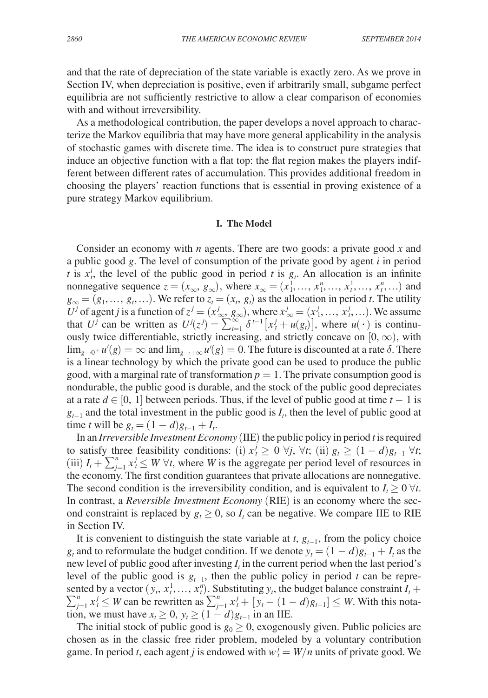and that the rate of depreciation of the state variable is exactly zero. As we prove in Section IV, when depreciation is positive, even if arbitrarily small, subgame perfect equilibria are not sufficiently restrictive to allow a clear comparison of economies with and without irreversibility.

As a methodological contribution, the paper develops a novel approach to characterize the Markov equilibria that may have more general applicability in the analysis of stochastic games with discrete time. The idea is to construct pure strategies that induce an objective function with a flat top: the flat region makes the players indifferent between different rates of accumulation. This provides additional freedom in choosing the players' reaction functions that is essential in proving existence of a pure strategy Markov equilibrium.

## **I. The Model**

Consider an economy with *n* agents. There are two goods: a private good *x* and a public good *g*. The level of consumption of the private good by agent *i* in period *t* is  $x_t^i$ , the level of the public good in period *t* is  $g_t$ . An allocation is an infinite nonnegative sequence  $z = (x_\infty, g_\infty)$ , where  $x_\infty = (x_1^1, \ldots, x_1^n, \ldots, x_t^1, \ldots)$  and  $g_{\infty} = (g_1, \ldots, g_t, \ldots)$ . We refer to  $z_t = (x_t, g_t)$  as the allocation in period *t*. The utility *U*<sup>*j*</sup> of agent *j* is a function of  $z^j = (x^j_{\infty}, g_{\infty})$ , where  $x^j_{\infty} = (x^j_1, ..., x^j_t, ...)$ . We assume that *U<sup>j</sup>* can be written as  $U^j(z^j) = \sum_{t=1}^{\infty} \delta^{t-1} [x^j_t + u(g_t)]$ , where  $u(\cdot)$  is continuously twice differentiable, strictly increasing, and strictly concave on  $[0, \infty)$ , with  $\lim_{g\to 0^+} u'(g) = \infty$  and  $\lim_{g\to +\infty} u'(g) = 0$ . The future is discounted at a rate  $\delta$ . There is a linear technology by which the private good can be used to produce the public good, with a marginal rate of transformation  $p = 1$ . The private consumption good is nondurable, the public good is durable, and the stock of the public good depreciates at a rate  $d \in [0, 1]$  between periods. Thus, if the level of public good at time  $t - 1$  is  $g_{t-1}$  and the total investment in the public good is  $I_t$ , then the level of public good at time *t* will be  $g_t = (1 - d)g_{t-1} + I_t$ .

In an *Irreversible Investment Economy* (IIE) the public policy in period *t* is required to satisfy three feasibility conditions: (i)  $x_t^j \geq 0$   $\forall j$ ,  $\forall t$ ; (ii)  $g_t \geq (1-d)g_{t-1}$   $\forall t$ ; (iii)  $I_t + \sum_{j=1}^n x_j^j \leq W \,\forall t$ , where *W* is the aggregate per period level of resources in the economy. The first condition guarantees that private allocations are nonnegative. The second condition is the irreversibility condition, and is equivalent to  $I_t \geq 0$   $\forall t$ . In contrast, a *Reversible Investment Economy* (RIE) is an economy where the second constraint is replaced by  $g_t \geq 0$ , so  $I_t$  can be negative. We compare IIE to RIE in Section IV.

It is convenient to distinguish the state variable at  $t$ ,  $g_{t-1}$ , from the policy choice *g<sub>t</sub>* and to reformulate the budget condition. If we denote  $y_t = (1 - d)g_{t-1} + I_t$  as the new level of public good after investing  $I_t$  in the current period when the last period's level of the public good is *gt*−1, then the public policy in period *t* can be represented by a vector  $(y_t, x_t^1, \ldots, x_t^n)$ . Substituting  $y_t$ , the budget balance constraint  $I_t$  +  $\sum_{j=1}^{n} x_i^j \leq W$  can be rewritten as  $\sum_{j=1}^{n} x_i^j + [y_t - (1 - d)g_{t-1}] \leq W$ . With this notation, we must have  $x_t \geq 0$ ,  $y_t \geq (1 - d)g_{t-1}$  in an IIE.

The initial stock of public good is  $g_0 \geq 0$ , exogenously given. Public policies are chosen as in the classic free rider problem, modeled by a voluntary contribution game. In period *t*, each agent *j* is endowed with  $w_t^j = W/n$  units of private good. We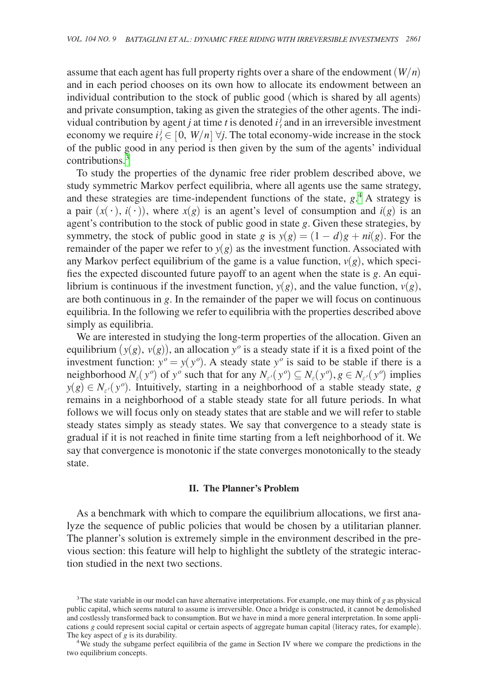assume that each agent has full property rights over a share of the endowment (*W*/*n*) and in each period chooses on its own how to allocate its endowment between an individual contribution to the stock of public good (which is shared by all agents) and private consumption, taking as given the strategies of the other agents. The individual contribution by agent *j* at time *t* is denoted  $i_t^j$  and in an irreversible investment economy we require  $i^j_t \in [0, W/n]$   $\forall j$ . The total economy-wide increase in the stock of the public good in any period is then given by the sum of the agents' individual contributions.[3](#page-3-0)

To study the properties of the dynamic free rider problem described above, we study symmetric Markov perfect equilibria, where all agents use the same strategy, and these strategies are time-independent functions of the state,  $g^A$ . A strategy is a pair  $(x(\cdot), i(\cdot))$ , where  $x(g)$  is an agent's level of consumption and  $i(g)$  is an agent's contribution to the stock of public good in state *g*. Given these strategies, by symmetry, the stock of public good in state *g* is  $y(g) = (1 - d)g + ni(g)$ . For the remainder of the paper we refer to  $y(g)$  as the investment function. Associated with any Markov perfect equilibrium of the game is a value function,  $v(g)$ , which specifies the expected discounted future payoff to an agent when the state is *g*. An equilibrium is continuous if the investment function,  $y(g)$ , and the value function,  $v(g)$ , are both continuous in *g*. In the remainder of the paper we will focus on continuous equilibria. In the following we refer to equilibria with the properties described above simply as equilibria.

We are interested in studying the long-term properties of the allocation. Given an equilibrium  $(y(g), v(g))$ , an allocation  $y<sup>o</sup>$  is a steady state if it is a fixed point of the investment function:  $y^o = y(y^o)$ . A steady state  $y^o$  is said to be stable if there is a neighborhood  $N_{\varepsilon}(y^o)$  of  $y^o$  such that for any  $N_{\varepsilon'}(y^o) \subseteq N_{\varepsilon}(y^o), g \in N_{\varepsilon'}(y^o)$  implies  $y(g) \in N_{\varepsilon'}(y^o)$ . Intuitively, starting in a neighborhood of a stable steady state, *g* remains in a neighborhood of a stable steady state for all future periods. In what follows we will focus only on steady states that are stable and we will refer to stable steady states simply as steady states. We say that convergence to a steady state is gradual if it is not reached in finite time starting from a left neighborhood of it. We say that convergence is monotonic if the state converges monotonically to the steady state.

#### **II. The Planner's Problem**

As a benchmark with which to compare the equilibrium allocations, we first analyze the sequence of public policies that would be chosen by a utilitarian planner. The planner's solution is extremely simple in the environment described in the previous section: this feature will help to highlight the subtlety of the strategic interaction studied in the next two sections.

<span id="page-3-0"></span><sup>3</sup>The state variable in our model can have alternative interpretations. For example, one may think of *g* as physical public capital, which seems natural to assume is irreversible. Once a bridge is constructed, it cannot be demolished and costlessly transformed back to consumption. But we have in mind a more general interpretation. In some applications *g* could represent social capital or certain aspects of aggregate human capital (literacy rates, for example).<br>The key aspect of *g* is its durability.

<span id="page-3-1"></span><sup>&</sup>lt;sup>4</sup>We study the subgame perfect equilibria of the game in Section IV where we compare the predictions in the two equilibrium concepts.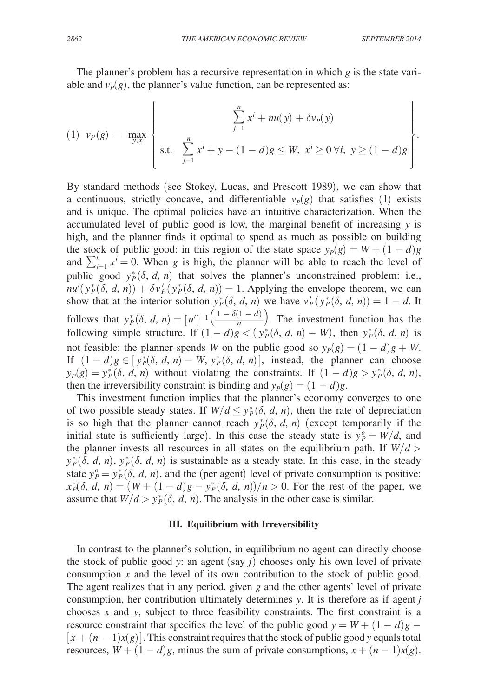The planner's problem has a recursive representation in which *g* is the state variable and  $v_p(g)$ , the planner's value function, can be represented as:

$$
(1) \ \ v_P(g) = \max_{y,x} \left\{ \begin{array}{c} \sum_{j=1}^n x^i + nu(y) + \delta v_P(y) \\ \text{s.t.} \ \sum_{j=1}^n x^i + y - (1-d)g \leq W, \ x^i \geq 0 \ \forall i, \ y \geq (1-d)g \end{array} \right\}.
$$

By standard methods (see Stokey, Lucas, and Prescott 1989), we can show that a continuous, strictly concave, and differentiable  $v_P(g)$  that satisfies (1) exists and is unique. The optimal policies have an intuitive characterization. When the accumulated level of public good is low, the marginal benefit of increasing *y* is high, and the planner finds it optimal to spend as much as possible on building the stock of public good: in this region of the state space  $y_P(g) = W + (1 - d)g$ and  $\sum_{j=1}^{n} x^{i} = 0$ . When *g* is high, the planner will be able to reach the level of public good  $y_P^*(\delta, d, n)$  that solves the planner's unconstrained problem: i.e.,  $nu'(y_P^*(\delta, d, n)) + \delta v_P'(y_P^*(\delta, d, n)) = 1$ . Applying the envelope theorem, we can show that at the interior solution  $y_P^*(\delta, d, n)$  we have  $v_P' (y_P^*(\delta, d, n)) = 1 - d$ . It follows that  $y_P^*(\delta, d, n) = [u']$ solves the pla<br>  $(d, n)$ ) = 1. App<br>
on  $y_P^*(\delta, d, n)$ <br>  $-1\left(\frac{1 - \delta(1 - d)}{n}\right)$ <br>  $(1 - d)g < (y)$ <br>
als W on the pu  $\frac{1-\delta(1-d)}{n}$ . The investment function has the following simple structure. If  $(1 - d)g < (y_p^*(\delta, d, n) - W)$ , then  $y_p^*(\delta, d, n)$  is not feasible: the planner spends *W* on the public good so  $y_P(g) = (1 - d)g + W$ . If  $(1 - d)g \in [y_p^*(\delta, d, n) - W, y_p^*(\delta, d, n)]$ , instead, the planner can choose  $y_P(g) = y_P^*(\delta, d, n)$  without violating the constraints. If  $(1 - d)g > y_P^*(\delta, d, n)$ , then the irreversibility constraint is binding and  $y_P(g) = (1 - d)g$ .

This investment function implies that the planner's economy converges to one of two possible steady states. If  $W/d \leq y_P^*(\delta, d, n)$ , then the rate of depreciation is so high that the planner cannot reach  $y_P^*(\delta, d, n)$  (except temporarily if the initial state is sufficiently large). In this case the steady state is  $y_P^o = W/d$ , and the planner invests all resources in all states on the equilibrium path. If  $W/d >$  $y_P^*(\delta, d, n)$ ,  $y_P^*(\delta, d, n)$  is sustainable as a steady state. In this case, in the steady state  $y_P^o = y_P^*(\delta, d, n)$ , and the (per agent) level of private consumption is positive:  $x^*_{P}(\delta, d, n) = (W + (1 - d)g - y^*_{P}(\delta, d, n))/n > 0$ . For the rest of the paper, we assume that  $W/d > y_P^*(\delta, d, n)$ . The analysis in the other case is similar.

#### **III. Equilibrium with Irreversibility**

In contrast to the planner's solution, in equilibrium no agent can directly choose the stock of public good *y*: an agent  $(say j)$  chooses only his own level of private consumption *x* and the level of its own contribution to the stock of public good. The agent realizes that in any period, given *g* and the other agents' level of private consumption, her contribution ultimately determines *y*. It is therefore as if agent *j* chooses *x* and *y*, subject to three feasibility constraints. The first constraint is a resource constraint that specifies the level of the public good  $y = W + (1 - d)g$  −  $[x + (n-1)x(g)]$ . This constraint requires that the stock of public good *y* equals total resources,  $W + (1 - d)g$ , minus the sum of private consumptions,  $x + (n - 1)x(g)$ .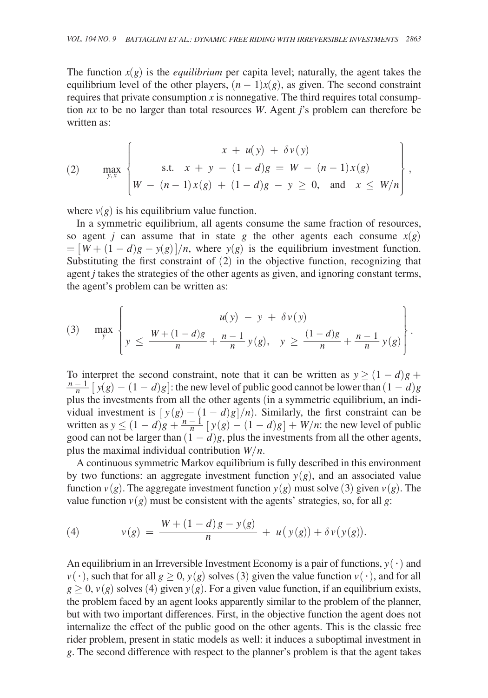The function  $x(g)$  is the *equilibrium* per capita level; naturally, the agent takes the equilibrium level of the other players,  $(n - 1)x(g)$ , as given. The second constraint requires that private consumption  $x$  is nonnegative. The third requires total consumption *nx* to be no larger than total resources *W*. Agent *j*'s problem can therefore be written as:

(2) 
$$
\max_{y,x} \left\{ \begin{aligned} x + u(y) + \delta v(y) \\ \text{s.t.} \quad x + y - (1 - d)g &= W - (n - 1)x(g) \\ W - (n - 1)x(g) + (1 - d)g - y &\geq 0, \text{ and } x \leq W/n \end{aligned} \right\},
$$

where  $v(g)$  is his equilibrium value function.

In a symmetric equilibrium, all agents consume the same fraction of resources, so agent *j* can assume that in state *g* the other agents each consume  $x(g)$  $= [W + (1 - d)g - y(g)]/n$ , where  $y(g)$  is the equilibrium investment function. Substituting the first constraint of (2) in the objective function, recognizing that agent *j* takes the strategies of the other agents as given, and ignoring constant terms, the agent's problem can be written as:

(3) 
$$
\max_{y} \left\{ y \le \frac{W + (1 - d)g}{n} + \frac{n - 1}{n} y(g), y \ge \frac{(1 - d)g}{n} + \frac{n - 1}{n} y(g) \right\}.
$$

To interpret the second constraint, note that it can be written as  $y \ge (1 - d)g$  +  $\frac{n-1}{n}$   $[y(g) - (1 - d)g]$ : the new level of public good cannot be lower than  $(1 - d)g$ plus the investments from all the other agents (in a symmetric equilibrium, an individual investment is  $[y(g) - (1 - d)g]/n$ . Similarly, the first constraint can be vidual investment is  $[y(g) - (1 - d)g]/n$ . Similarly, the first constraint can be written as  $y \le (1 - d)g + \frac{n-1}{n} [y(g) - (1 - d)g] + W/n$ : the new level of public good can not be larger than  $(1 - d)e$  plus the investments from all the oth good can not be larger than  $(1 - d)g$ , plus the investments from all the other agents, plus the maximal individual contribution *W*/*n*.

A continuous symmetric Markov equilibrium is fully described in this environment by two functions: an aggregate investment function  $y(g)$ , and an associated value function  $v(g)$ . The aggregate investment function  $y(g)$  must solve (3) given  $v(g)$ . The<br>value function  $v(g)$  must be consistent with the agents' strategies, so, for all g:<br>(4)  $v(g) = \frac{W + (1 - d)g - y(g)}{n} + u(y(g)) + \delta v(y(g))$ .<br>An equi value function  $v(g)$  must be consistent with the agents' strategies, so, for all *g*:

(4) 
$$
v(g) = \frac{W + (1 - d)g - y(g)}{n} + u(y(g)) + \delta v(y(g)).
$$

An equilibrium in an Irreversible Investment Economy is a pair of functions,  $y(\cdot)$  and  $v(\cdot)$ , such that for all  $g \ge 0$ ,  $y(g)$  solves (3) given the value function  $v(\cdot)$ , and for all  $g \ge 0$ ,  $v(g)$  solves (4) given  $y(g)$ . For a given value function, if an equilibrium exists, the problem faced by an agent looks apparently similar to the problem of the planner, but with two important differences. First, in the objective function the agent does not internalize the effect of the public good on the other agents. This is the classic free rider problem, present in static models as well: it induces a suboptimal investment in *g*. The second difference with respect to the planner's problem is that the agent takes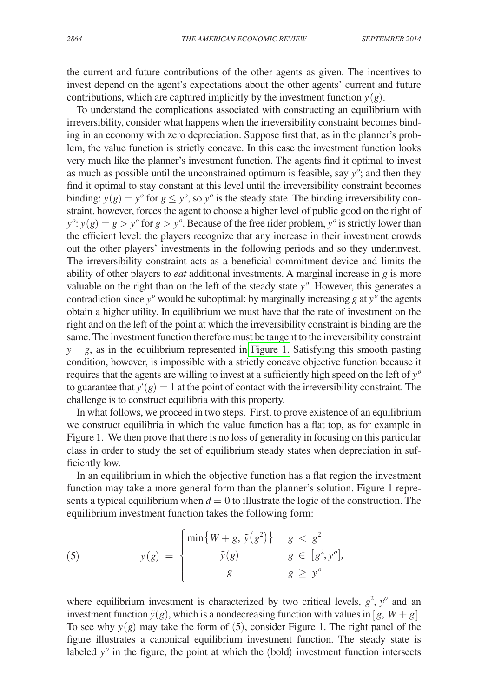the current and future contributions of the other agents as given. The incentives to invest depend on the agent's expectations about the other agents' current and future contributions, which are captured implicitly by the investment function  $y(g)$ .

To understand the complications associated with constructing an equilibrium with irreversibility, consider what happens when the irreversibility constraint becomes binding in an economy with zero depreciation. Suppose first that, as in the planner's problem, the value function is strictly concave. In this case the investment function looks very much like the planner's investment function. The agents find it optimal to invest as much as possible until the unconstrained optimum is feasible, say *y<sup>o</sup>* ; and then they find it optimal to stay constant at this level until the irreversibility constraint becomes binding:  $y(g) = y^o$  for  $g \leq y^o$ , so  $y^o$  is the steady state. The binding irreversibility constraint, however, forces the agent to choose a higher level of public good on the right of  $y^o$ :  $y(g) = g > y^o$  for  $g > y^o$ . Because of the free rider problem,  $y^o$  is strictly lower than the efficient level: the players recognize that any increase in their investment crowds out the other players' investments in the following periods and so they underinvest. The irreversibility constraint acts as a beneficial commitment device and limits the ability of other players to *eat* additional investments. A marginal increase in *g* is more valuable on the right than on the left of the steady state *y<sup>o</sup>* . However, this generates a contradiction since  $y^{\circ}$  would be suboptimal: by marginally increasing *g* at  $y^{\circ}$  the agents obtain a higher utility. In equilibrium we must have that the rate of investment on the right and on the left of the point at which the irreversibility constraint is binding are the same. The investment function therefore must be tangent to the irreversibility constraint  $y = g$ , as in the equilibrium represented in [Figure 1.](#page-7-0) Satisfying this smooth pasting condition, however, is impossible with a strictly concave objective function because it requires that the agents are willing to invest at a sufficiently high speed on the left of *y<sup>o</sup>* to guarantee that  $y'(g) = 1$  at the point of contact with the irreversibility constraint. The challenge is to construct equilibria with this property.

In what follows, we proceed in two steps. First, to prove existence of an equilibrium we construct equilibria in which the value function has a flat top, as for example in Figure 1. We then prove that there is no loss of generality in focusing on this particular class in order to study the set of equilibrium steady states when depreciation in sufficiently low.

In an equilibrium in which the objective function has a flat region the investment function may take a more general form than the planner's solution. Figure 1 represents a typical equilibrium when  $d = 0$  to illustrate the logic of the construction. The equilibrium investment function takes the following form:

(5) 
$$
y(g) = \begin{cases} \min\{W+g, \tilde{y}(g^2)\} & g < g^2 \\ \tilde{y}(g) & g \in [g^2, y^o], \\ g & g \geq y^o \end{cases}
$$

where equilibrium investment is characterized by two critical levels,  $g^2$ ,  $y^o$  and an investment function  $\tilde{y}(g)$ , which is a nondecreasing function with values in [ $g$ ,  $W + g$ ]. To see why  $y(g)$  may take the form of  $(5)$ , consider Figure 1. The right panel of the figure illustrates a canonical equilibrium investment function. The steady state is labeled  $y<sup>o</sup>$  in the figure, the point at which the (bold) investment function intersects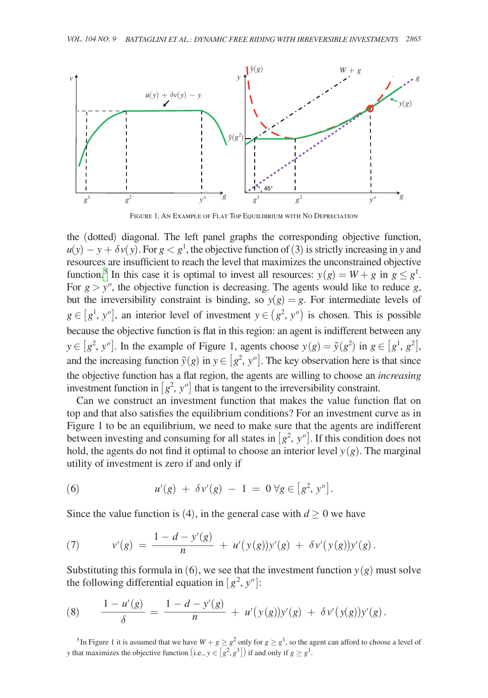<span id="page-7-0"></span>

Figure 1. An Example of Flat Top Equilibrium with No Depreciation

the (dotted) diagonal. The left panel graphs the corresponding objective function,  $u(y) - y + \delta v(y)$ . For  $g < g<sup>1</sup>$ , the objective function of (3) is strictly increasing in *y* and resources are insufficient to reach the level that maximizes the unconstrained objective function.<sup>5</sup> In this case it is optimal to invest all resources:  $y(g) = W + g$  in  $g \leq g^1$ . For  $g > y<sup>o</sup>$ , the objective function is decreasing. The agents would like to reduce  $g$ , but the irreversibility constraint is binding, so  $y(g) = g$ . For intermediate levels of  $g \in [g^1, y^o]$ , an interior level of investment  $y \in (g^2, y^o)$  is chosen. This is possible because the objective function is flat in this region: an agent is indifferent between any  $y \in [g^2, y^o]$ . In the example of Figure 1, agents choose  $y(g) = \tilde{y}(g^2)$  in  $g \in [g^1, g^2]$ , and the increasing function  $\tilde{y}(g)$  in  $y \in [g^2, y^o]$ . The key observation here is that since the objective function has a flat region, the agents are willing to choose an *increasing* investment function in  $[g^2, y^o]$  that is tangent to the irreversibility constraint.

Can we construct an investment function that makes the value function flat on top and that also satisfies the equilibrium conditions? For an investment curve as in Figure 1 to be an equilibrium, we need to make sure that the agents are indifferent between investing and consuming for all states in  $[g^2, y^o]$ . If this condition does not hold, the agents do not find it optimal to choose an interior level  $y(g)$ . The marginal utility of investment is zero if and only if

(6) 
$$
u'(g) + \delta v'(g) - 1 = 0 \forall g \in [g^2, y^o].
$$

Since the value function is (4), in the general case with  $d \geq 0$  we have

\n- (6) 
$$
u'(g) + \delta v'(g) - 1 = 0 \,\forall g \in [g^2, y^o].
$$
\n- Since the value function is (4), in the general case with  $d \geq 0$  we have
\n- (7)  $v'(g) = \frac{1 - d - y'(g)}{n} + u'(y(g))y'(g) + \delta v'(y(g))y'(g).$
\n- Substituting this formula in (6), we see that the investment function  $y(g)$  the following differential equation in  $[g^2, y^o]$ :
\n

Substituting this formula in (6), we see that the investment function  $y(g)$  must solve the following differential equation in  $[g^2, y^o]$ : bstituting this formula in (6), we see that the investment function  $y(g)$  must solve<br>
e following differential equation in  $[g^2, y^o]$ :<br>  $\frac{1 - u'(g)}{\delta} = \frac{1 - d - y'(g)}{n} + u'(y(g))y'(g) + \delta v'(y(g))y'(g)$ .<br>  $\frac{1}{\delta}$ <br>  $\frac{1 - u'(g)}{\delta} = \frac{1 -$ 

Substituting this formula in (6), we see that the investment function 
$$
y(g)
$$
 m  
the following differential equation in  $[g^2, y^o]$ :  
(8) 
$$
\frac{1 - u'(g)}{\delta} = \frac{1 - d - y'(g)}{n} + u'(y(g))y'(g) + \delta v'(y(g))y'(g).
$$

<span id="page-7-1"></span>*y* that maximizes the objective function (i.e.,  $y \in [g^2, g^3]$ ) if and only if  $g \geq g^1$ .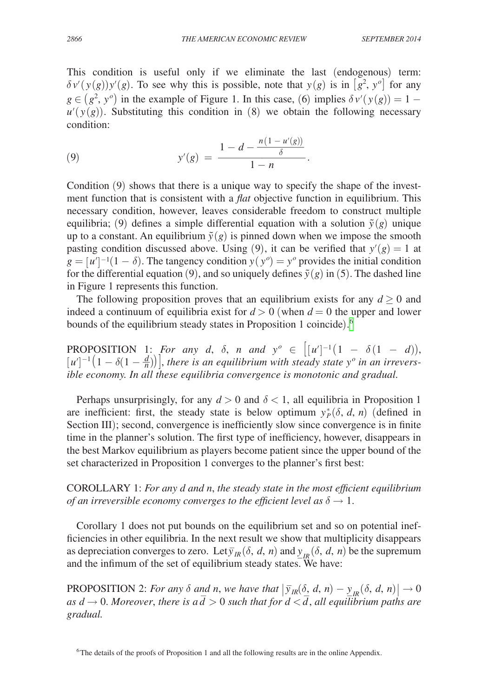This condition is useful only if we eliminate the last (endogenous) term:  $\delta v'(y(g))y'(g)$ . To see why this is possible, note that  $y(g)$  is in  $[g^2, y^o]$  for any  $g \in (g^2, y^o)$  in the example of Figure 1. In this case, (6) implies  $\delta v'(y(g)) = 1$  $u'(y(g))$ . Substituting this condition in (8) we obtain the following necessary condition:

$$
g \in (g^2, y^2)
$$
 in the example of Figure 1. In this case, (6) Im  $u'(y(g))$ . Substituting this condition in (8) we obtain the condition:  
\n(9)  $y'(g) = \frac{1 - d - \frac{n(1 - u'(g))}{\delta}}{1 - n}$ .  
\nCondition (9) shows that there is a unique way to specify the

Condition (9) shows that there is a unique way to specify the shape of the investment function that is consistent with a *flat* objective function in equilibrium. This necessary condition, however, leaves considerable freedom to construct multiple equilibria; (9) defines a simple differential equation with a solution  $\tilde{y}(g)$  unique up to a constant. An equilibrium  $\tilde{y}(g)$  is pinned down when we impose the smooth pasting condition discussed above. Using (9), it can be verified that  $y'(g) = 1$  at  $g = [u']^{-1}(1 - \delta)$ . The tangency condition  $y(y^o) = y^o$  provides the initial condition for the differential equation (9), and so uniquely defines  $\tilde{y}(g)$  in (5). The dashed line in Figure 1 represents this function.

The following proposition proves that an equilibrium exists for any  $d \geq 0$  and indeed a continuum of equilibria exist for  $d > 0$  (when  $d = 0$  the upper and lower bounds of the equilibrium steady states in Proposition 1 coincide). [6](#page-8-0)

**PROPOSITION** 1: *For any d, δ, n and*  $y^o \in [(u']^{-1}(1 - \delta(1 - d)),$  $[u']^{-1}(1-\delta(1-\frac{d}{n}))$ , *there is an equilibrium with steady state y<sup>o</sup> <i>in an irreversible economy. In all these equilibria convergence is monotonic and gradual.*

Perhaps unsurprisingly, for any  $d > 0$  and  $\delta < 1$ , all equilibria in Proposition 1 are inefficient: first, the steady state is below optimum  $y_P^*(\delta, d, n)$  (defined in Section III); second, convergence is inefficiently slow since convergence is in finite time in the planner's solution. The first type of inefficiency, however, disappears in the best Markov equilibrium as players become patient since the upper bound of the set characterized in Proposition 1 converges to the planner's first best:

COROLLARY 1: *For any d and n, the steady state in the most efficient equilibrium of an irreversible economy converges to the efficient level as*  $\delta \rightarrow 1$ .

Corollary 1 does not put bounds on the equilibrium set and so on potential inefficiencies in other equilibria. In the next result we show that multiplicity disappears as depreciation converges to zero. Let  $\overline{y}_{IR}$  ( $\delta$ , *d*, *n*) and  $\overline{y}_{IR}$  ( $\delta$ , *d*, *n*) be the supremum and the infimum of the set of equilibrium steady states. We have:

PROPOSITION 2: *For any*  $\delta$  *and n, we have that*  $|\bar{y}_R(\delta, d, n) - y_R(\delta, d, n)| \to 0$ *as d*  $\rightarrow$  0. Moreover, there is a  $\overline{d}$   $>$  0 such that for  $d < \overline{d}$ , all equilibrium paths are *gradual.*

<span id="page-8-0"></span><sup>&</sup>lt;sup>6</sup>The details of the proofs of Proposition 1 and all the following results are in the online Appendix.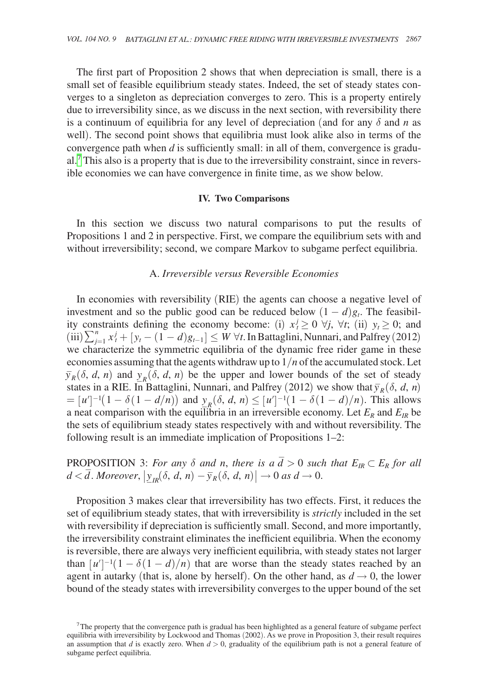The first part of Proposition 2 shows that when depreciation is small, there is a small set of feasible equilibrium steady states. Indeed, the set of steady states converges to a singleton as depreciation converges to zero. This is a property entirely due to irreversibility since, as we discuss in the next section, with reversibility there is a continuum of equilibria for any level of depreciation (and for any δ and *n* as well). The second point shows that equilibria must look alike also in terms of the convergence path when *d* is sufficiently small: in all of them, convergence is gradual.[7](#page-9-0) This also is a property that is due to the irreversibility constraint, since in reversible economies we can have convergence in finite time, as we show below.

#### **IV. Two Comparisons**

In this section we discuss two natural comparisons to put the results of Propositions 1 and 2 in perspective. First, we compare the equilibrium sets with and without irreversibility; second, we compare Markov to subgame perfect equilibria.

# A. *Irreversible versus Reversible Economies*

In economies with reversibility (RIE) the agents can choose a negative level of investment and so the public good can be reduced below  $(1 - d)g_t$ . The feasibility constraints defining the economy become: (i)  $x_t^j \ge 0$   $\forall j$ ,  $\forall t$ ; (ii)  $y_t \ge 0$ ; and  $(iii)$   $\sum_{j=1}^{n} x_i^j + [y_t - (1 - d)g_{t-1}] \leq W \,\forall t$ . In Battaglini, Nunnari, and Palfrey (2012) we characterize the symmetric equilibria of the dynamic free rider game in these economies assuming that the agents withdraw up to  $1/n$  of the accumulated stock. Let  $\bar{y}_R(\delta, d, n)$  and  $\bar{y}_R(\delta, d, n)$  be the upper and lower bounds of the set of steady states in a RIE. In Battaglini, Nunnari, and Palfrey (2012) we show that  $\bar{y}_R(\delta, d, n)$  $=[u']^{-1}(1 - \delta(1 - d/n))$  and  $y_R(\delta, d, n) \leq [u']^{-1}(1 - \delta(1 - d)/n)$ . This allows a neat comparison with the equilibria in an irreversible economy. Let  $E_R$  and  $E_R$  be the sets of equilibrium steady states respectively with and without reversibility. The following result is an immediate implication of Propositions 1–2:

PROPOSITION 3: *For any*  $\delta$  *and n, there is a*  $\overline{d} > 0$  *such that*  $E_{IR} \subset E_R$  *for all*  $d < \overline{d}$ . Moreover,  $|y_{IR}(\delta, d, n) - \overline{y}_R(\delta, d, n)| \rightarrow 0$  as  $d \rightarrow 0$ .

Proposition 3 makes clear that irreversibility has two effects. First, it reduces the set of equilibrium steady states, that with irreversibility is *strictly* included in the set with reversibility if depreciation is sufficiently small. Second, and more importantly, the irreversibility constraint eliminates the inefficient equilibria. When the economy is reversible, there are always very inefficient equilibria, with steady states not larger than  $[u']^{-1}(1 - \delta(1 - d)/n)$  that are worse than the steady states reached by an agent in autarky (that is, alone by herself). On the other hand, as  $d \rightarrow 0$ , the lower bound of the steady states with irreversibility converges to the upper bound of the set

<span id="page-9-0"></span> $7$ The property that the convergence path is gradual has been highlighted as a general feature of subgame perfect equilibria with irreversibility by Lockwood and Thomas (2002). As we prove in Proposition 3, their result requires an assumption that *d* is exactly zero. When  $d > 0$ , graduality of the equilibrium path is not a general feature of subgame perfect equilibria.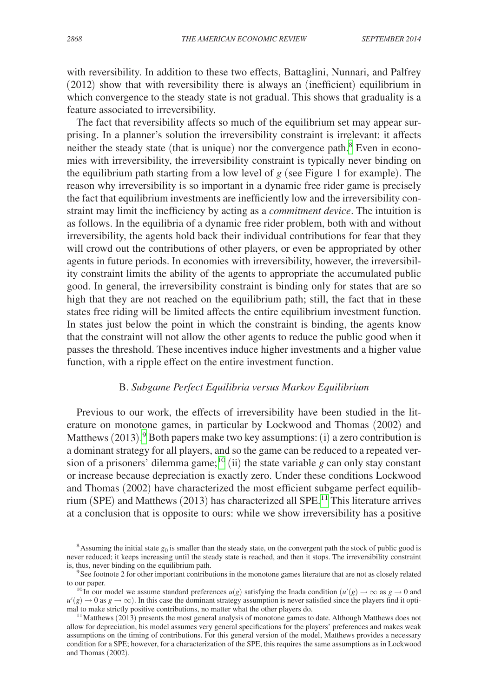with reversibility. In addition to these two effects, Battaglini, Nunnari, and Palfrey (2012) show that with reversibility there is always an (inefficient) equilibrium in which convergence to the steady state is not gradual. This shows that graduality is a feature associated to irreversibility.

The fact that reversibility affects so much of the equilibrium set may appear surprising. In a planner's solution the irreversibility constraint is irrelevant: it affects neither the steady state (that is unique) nor the convergence path.[8](#page-10-0) Even in economies with irreversibility, the irreversibility constraint is typically never binding on the equilibrium path starting from a low level of  $g$  (see Figure 1 for example). The reason why irreversibility is so important in a dynamic free rider game is precisely the fact that equilibrium investments are inefficiently low and the irreversibility constraint may limit the inefficiency by acting as a *commitment device*. The intuition is as follows. In the equilibria of a dynamic free rider problem, both with and without irreversibility, the agents hold back their individual contributions for fear that they will crowd out the contributions of other players, or even be appropriated by other agents in future periods. In economies with irreversibility, however, the irreversibility constraint limits the ability of the agents to appropriate the accumulated public good. In general, the irreversibility constraint is binding only for states that are so high that they are not reached on the equilibrium path; still, the fact that in these states free riding will be limited affects the entire equilibrium investment function. In states just below the point in which the constraint is binding, the agents know that the constraint will not allow the other agents to reduce the public good when it passes the threshold. These incentives induce higher investments and a higher value function, with a ripple effect on the entire investment function.

# B. *Subgame Perfect Equilibria versus Markov Equilibrium*

Previous to our work, the effects of irreversibility have been studied in the literature on monotone games, in particular by Lockwood and Thomas (2002) and Matthews (2013). [9](#page-10-1) Both papers make two key assumptions: (i) a zero contribution is a dominant strategy for all players, and so the game can be reduced to a repeated ver-sion of a prisoners' dilemma game;<sup>[10](#page-10-2)</sup> (ii) the state variable *g* can only stay constant or increase because depreciation is exactly zero. Under these conditions Lockwood and Thomas (2002) have characterized the most efficient subgame perfect equilib-rium (SPE) and Matthews (2013) has characterized all SPE.<sup>[11](#page-10-3)</sup> This literature arrives at a conclusion that is opposite to ours: while we show irreversibility has a positive

<span id="page-10-0"></span> $8$ Assuming the initial state  $g_0$  is smaller than the steady state, on the convergent path the stock of public good is never reduced; it keeps increasing until the steady state is reached, and then it stops. The irreversibility constraint is, thus, never binding on the equilibrium path.

<span id="page-10-1"></span><sup>&</sup>lt;sup>9</sup> See footnote 2 for other important contributions in the monotone games literature that are not as closely related to our paper.

<span id="page-10-2"></span><sup>&</sup>lt;sup>10</sup> In our model we assume standard preferences  $u(g)$  satisfying the Inada condition  $(u'(g) \to \infty$  as  $g \to 0$  and  $u'(g) \to 0$  as  $g \to \infty$ ). In this case the dominant strategy assumption is never satisfied since the players find it opti-<br>mal to make strictly positive contributions, no matter what the other players do.

<span id="page-10-3"></span> $11$  Matthews (2013) presents the most general analysis of monotone games to date. Although Matthews does not allow for depreciation, his model assumes very general specifications for the players' preferences and makes weak assumptions on the timing of contributions. For this general version of the model, Matthews provides a necessary condition for a SPE; however, for a characterization of the SPE, this requires the same assumptions as in Lockwood and Thomas (2002).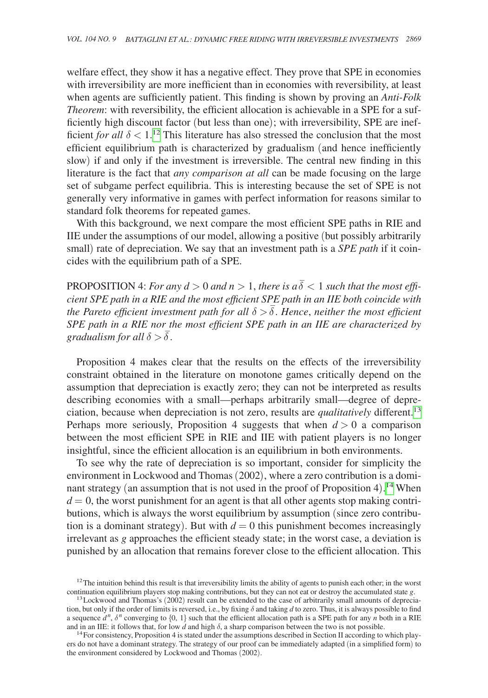welfare effect, they show it has a negative effect. They prove that SPE in economies with irreversibility are more inefficient than in economies with reversibility, at least when agents are sufficiently patient. This finding is shown by proving an *Anti-Folk Theorem*: with reversibility, the efficient allocation is achievable in a SPE for a sufficiently high discount factor (but less than one); with irreversibility, SPE are inefficient *for all*  $\delta$  < 1.<sup>12</sup> This literature has also stressed the conclusion that the most efficient equilibrium path is characterized by gradualism (and hence inefficiently slow) if and only if the investment is irreversible. The central new finding in this literature is the fact that *any comparison at all* can be made focusing on the large set of subgame perfect equilibria. This is interesting because the set of SPE is not generally very informative in games with perfect information for reasons similar to standard folk theorems for repeated games.

With this background, we next compare the most efficient SPE paths in RIE and IIE under the assumptions of our model, allowing a positive (but possibly arbitrarily small) rate of depreciation. We say that an investment path is a *SPE path* if it coincides with the equilibrium path of a SPE.

PROPOSITION 4: *For any*  $d > 0$  *and*  $n > 1$ *, there is a*  $\overline{\delta} < 1$  *such that the most efficient SPE path in a RIE and the most efficient SPE path in an IIE both coincide with*   $t$  *the Pareto efficient investment path for all*  $\delta > \overline{\delta}$ . *Hence*, *neither the most efficient SPE path in a RIE nor the most efficient SPE path in an IIE are characterized by*  \_  $\alpha$ *gradualism for all*  $\delta > \delta$ .

Proposition 4 makes clear that the results on the effects of the irreversibility constraint obtained in the literature on monotone games critically depend on the assumption that depreciation is exactly zero; they can not be interpreted as results describing economies with a small—perhaps arbitrarily small—degree of depreciation, because when depreciation is not zero, results are *qualitatively* different.[13](#page-11-1) Perhaps more seriously, Proposition 4 suggests that when  $d > 0$  a comparison between the most efficient SPE in RIE and IIE with patient players is no longer insightful, since the efficient allocation is an equilibrium in both environments.

To see why the rate of depreciation is so important, consider for simplicity the environment in Lockwood and Thomas (2002), where a zero contribution is a dominant strategy (an assumption that is not used in the proof of Proposition 4). [14](#page-11-2) When  $d = 0$ , the worst punishment for an agent is that all other agents stop making contributions, which is always the worst equilibrium by assumption (since zero contribution is a dominant strategy). But with  $d = 0$  this punishment becomes increasingly irrelevant as *g* approaches the efficient steady state; in the worst case, a deviation is punished by an allocation that remains forever close to the efficient allocation. This

<span id="page-11-0"></span><sup>&</sup>lt;sup>12</sup>The intuition behind this result is that irreversibility limits the ability of agents to punish each other; in the worst continuation equilibrium players stop making contributions, but they can not eat or destroy the

<span id="page-11-1"></span> $13$  Lockwood and Thomas's (2002) result can be extended to the case of arbitrarily small amounts of depreciation, but only if the order of limits is reversed, i.e., by fixing  $\delta$  and taking d to zero. Thus, it is always possible to find a sequence  $d^n$ ,  $\delta^n$  converging to  $\{0, 1\}$  such that the efficient allocation path is a SPE path for any *n* both in a RIE and in an IIE: it follows that, for low d and high  $\delta$ , a sharp comparison between the two is not possible.<br><sup>14</sup> For consistency, Proposition 4 is stated under the assumptions described in Section II according to which p

<span id="page-11-2"></span>ers do not have a dominant strategy. The strategy of our proof can be immediately adapted (in a simplified form) to the environment considered by Lockwood and Thomas (2002).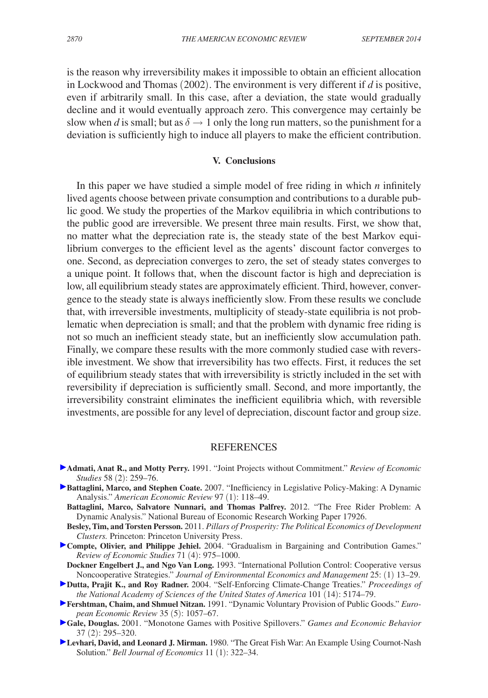is the reason why irreversibility makes it impossible to obtain an efficient allocation in Lockwood and Thomas (2002). The environment is very different if *d* is positive, even if arbitrarily small. In this case, after a deviation, the state would gradually decline and it would eventually approach zero. This convergence may certainly be slow when *d* is small; but as  $\delta \rightarrow 1$  only the long run matters, so the punishment for a deviation is sufficiently high to induce all players to make the efficient contribution.

## **V. Conclusions**

In this paper we have studied a simple model of free riding in which *n* infinitely lived agents choose between private consumption and contributions to a durable public good. We study the properties of the Markov equilibria in which contributions to the public good are irreversible. We present three main results. First, we show that, no matter what the depreciation rate is, the steady state of the best Markov equilibrium converges to the efficient level as the agents' discount factor converges to one. Second, as depreciation converges to zero, the set of steady states converges to a unique point. It follows that, when the discount factor is high and depreciation is low, all equilibrium steady states are approximately efficient. Third, however, convergence to the steady state is always inefficiently slow. From these results we conclude that, with irreversible investments, multiplicity of steady-state equilibria is not problematic when depreciation is small; and that the problem with dynamic free riding is not so much an inefficient steady state, but an inefficiently slow accumulation path. Finally, we compare these results with the more commonly studied case with reversible investment. We show that irreversibility has two effects. First, it reduces the set of equilibrium steady states that with irreversibility is strictly included in the set with reversibility if depreciation is sufficiently small. Second, and more importantly, the irreversibility constraint eliminates the inefficient equilibria which, with reversible investments, are possible for any level of depreciation, discount factor and group size.

## **REFERENCES**

- **Admati, Anat R., and Motty Perry.** 1991. "Joint Projects without Commitment." *Review of Economic Studies* 58 (2): 259–76.
- **Battaglini, Marco, and Stephen Coate.** 2007. "Inefficiency in Legislative Policy-Making: A Dynamic Analysis." *American Economic Review* 97 (1): 118–49.
	- **Battaglini, Marco, Salvatore Nunnari, and Thomas Palfrey.** 2012. "The Free Rider Problem: A Dynamic Analysis." National Bureau of Economic Research Working Paper 17926.
	- **Besley, Tim, and Torsten Persson.** 2011. *Pillars of Prosperity: The Political Economics of Development Clusters.* Princeton: Princeton University Press.
- **Compte, Olivier, and Philippe Jehiel.** 2004. "Gradualism in Bargaining and Contribution Games." *Review of Economic Studies* 71 (4): 975–1000.
- **Dockner Engelbert J., and Ngo Van Long.** 1993. "International Pollution Control: Cooperative versus Noncooperative Strategies." *Journal of Environmental Economics and Management* 25: (1) 13–29.
- **Dutta, Prajit K., and Roy Radner.** 2004. "Self-Enforcing Climate-Change Treaties." *Proceedings of the National Academy of Sciences of the United States of America* 101 (14): 5174–79.
- **Fershtman, Chaim, and Shmuel Nitzan.** 1991. "Dynamic Voluntary Provision of Public Goods." *European Economic Review* 35 (5): 1057–67.
- **Gale, Douglas.** 2001. "Monotone Games with Positive Spillovers." *Games and Economic Behavior* 37 (2): 295–320.
- **Levhari, David, and Leonard J. Mirman.** 1980. "The Great Fish War: An Example Using Cournot-Nash Solution." *Bell Journal of Economics* 11 (1): 322–34.